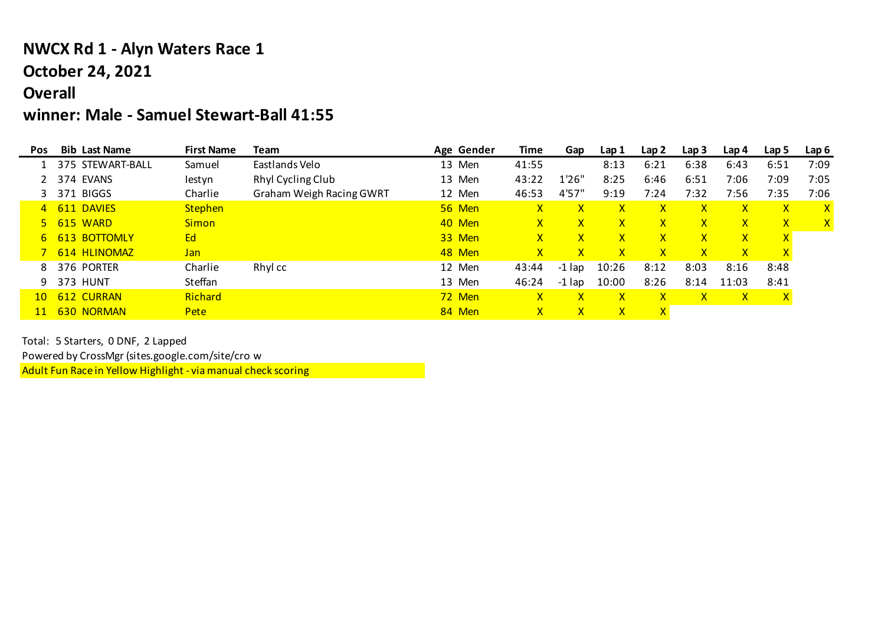## **NWCX Rd 1 - Alyn Waters Race 1 October 24, 2021**

## **Overall**

## **winner: Male - Samuel Stewart-Ball 41:55**

| <b>Pos</b>      | <b>Bib Last Name</b> | <b>First Name</b> | Team                     | Age Gender | Time         | Gap          | Lap 1        | Lap <sub>2</sub> | Lap <sub>3</sub> | Lap 4        | Lap 5        | Lap <sub>6</sub> |
|-----------------|----------------------|-------------------|--------------------------|------------|--------------|--------------|--------------|------------------|------------------|--------------|--------------|------------------|
|                 | 375 STEWART-BALL     | Samuel            | Eastlands Velo           | 13 Men     | 41:55        |              | 8:13         | 6:21             | 6:38             | 6:43         | 6:51         | 7:09             |
|                 | 374 EVANS            | lestyn            | Rhyl Cycling Club        | 13 Men     | 43:22        | 1'26"        | 8:25         | 6:46             | 6:51             | 7:06         | 7:09         | 7:05             |
|                 | 371 BIGGS            | Charlie           | Graham Weigh Racing GWRT | 12 Men     | 46:53        | 4'57'        | 9:19         | 7:24             | 7:32             | 7:56         | 7:35         | 7:06             |
| $\overline{4}$  | 611 DAVIES           | <b>Stephen</b>    |                          | 56 Men     | $\mathsf{x}$ | $\mathsf{x}$ | X            | x                | χ                | $\mathsf{x}$ | $\mathsf{X}$ | X                |
| 5.              | 615 WARD             | <b>Simon</b>      |                          | 40 Men     | $\mathsf{X}$ | $\mathsf{x}$ | $\mathsf{X}$ | $\mathsf{x}$     | X                | $\mathsf{x}$ | $\mathsf{X}$ | $\mathsf{X}$     |
| 6               | 613 BOTTOMLY         | Ed                |                          | 33 Men     | $\mathsf{X}$ | $\mathsf{x}$ | $\mathsf{X}$ | $\mathsf{X}$     | X.               | $\mathsf{x}$ | $\mathsf{X}$ |                  |
|                 | 614 HLINOMAZ         | <b>Jan</b>        |                          | 48 Men     | $\mathsf{X}$ | $\mathsf{x}$ | $\mathsf{x}$ | X.               | X.               | $\mathsf{x}$ | $\mathbf x$  |                  |
| 8               | 376 PORTER           | Charlie           | Rhyl cc                  | 12 Men     | 43:44        | $-1$ lap     | 10:26        | 8:12             | 8:03             | 8:16         | 8:48         |                  |
| 9               | 373 HUNT             | Steffan           |                          | 13 Men     | 46:24        | $-1$ lap     | 10:00        | 8:26             | 8:14             | 11:03        | 8:41         |                  |
| 10 <sup>°</sup> | 612 CURRAN           | Richard           |                          | 72 Men     | $\mathsf{X}$ | $\mathsf{x}$ | $\mathsf{x}$ | $\mathsf{x}$     | $\mathsf{X}$     | $\mathsf{x}$ | $\mathsf{X}$ |                  |
| <b>11</b>       | 630 NORMAN           | Pete              |                          | 84 Men     | $\mathsf{X}$ | $\mathsf{x}$ | $\mathsf{x}$ | $\mathsf{X}$     |                  |              |              |                  |

Total: 5 Starters, 0 DNF, 2 Lapped

Powered by CrossMgr (sites.google.com/site/crow

Adult Fun Race in Yellow Highlight - via manual check scoring